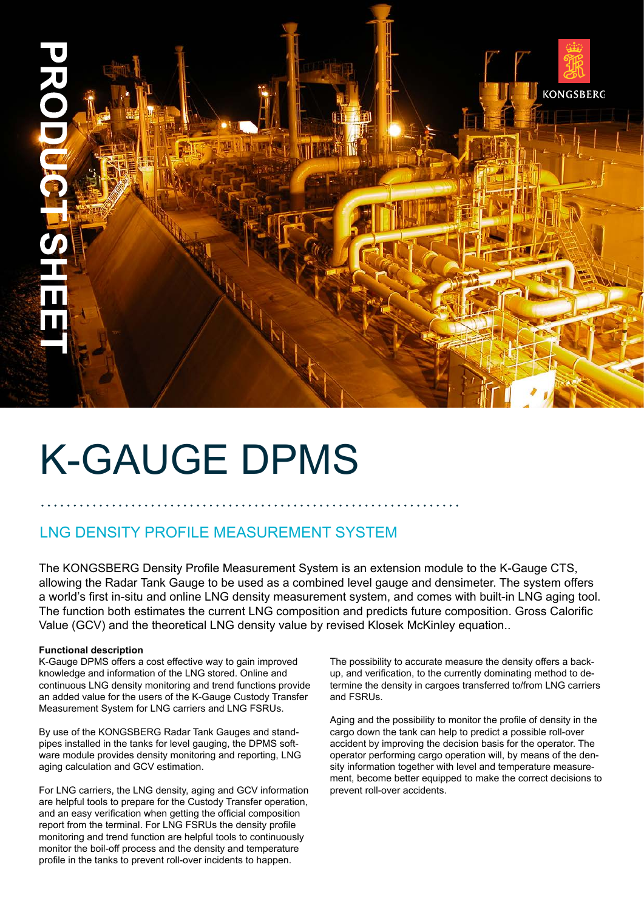

# k-gauge DPMS

# LNG density profile measurement system

The KONGSBERG Density Profile Measurement System is an extension module to the K-Gauge CTS, allowing the Radar Tank Gauge to be used as a combined level gauge and densimeter. The system offers a world's first in-situ and online LNG density measurement system, and comes with built-in LNG aging tool. The function both estimates the current LNG composition and predicts future composition. Gross Calorific Value (GCV) and the theoretical LNG density value by revised Klosek McKinley equation..

### **Functional description**

K-Gauge DPMS offers a cost effective way to gain improved knowledge and information of the LNG stored. Online and continuous LNG density monitoring and trend functions provide an added value for the users of the K-Gauge Custody Transfer Measurement System for LNG carriers and LNG FSRUs.

By use of the KONGSBERG Radar Tank Gauges and standpipes installed in the tanks for level gauging, the DPMS software module provides density monitoring and reporting, LNG aging calculation and GCV estimation.

For LNG carriers, the LNG density, aging and GCV information are helpful tools to prepare for the Custody Transfer operation, and an easy verification when getting the official composition report from the terminal. For LNG FSRUs the density profile monitoring and trend function are helpful tools to continuously monitor the boil-off process and the density and temperature profile in the tanks to prevent roll-over incidents to happen.

The possibility to accurate measure the density offers a backup, and verification, to the currently dominating method to determine the density in cargoes transferred to/from LNG carriers and FSRUs.

Aging and the possibility to monitor the profile of density in the cargo down the tank can help to predict a possible roll-over accident by improving the decision basis for the operator. The operator performing cargo operation will, by means of the density information together with level and temperature measurement, become better equipped to make the correct decisions to prevent roll-over accidents.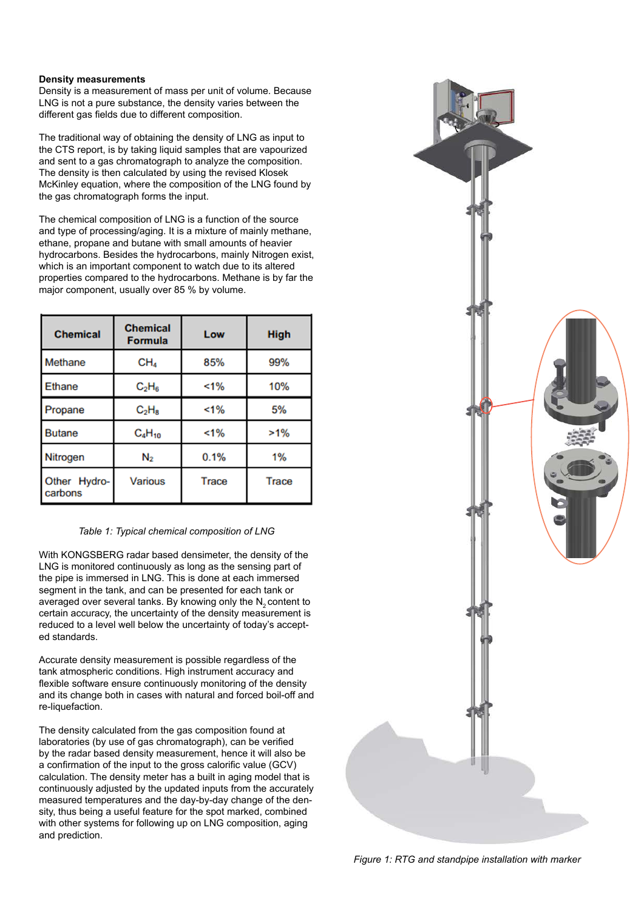#### **Density measurements**

Density is a measurement of mass per unit of volume. Because LNG is not a pure substance, the density varies between the different gas fields due to different composition.

The traditional way of obtaining the density of LNG as input to the CTS report, is by taking liquid samples that are vapourized and sent to a gas chromatograph to analyze the composition. The density is then calculated by using the revised Klosek McKinley equation, where the composition of the LNG found by the gas chromatograph forms the input.

The chemical composition of LNG is a function of the source and type of processing/aging. It is a mixture of mainly methane, ethane, propane and butane with small amounts of heavier hydrocarbons. Besides the hydrocarbons, mainly Nitrogen exist, which is an important component to watch due to its altered properties compared to the hydrocarbons. Methane is by far the major component, usually over 85 % by volume.

| <b>Chemical</b>         | <b>Chemical</b><br><b>Formula</b> | Low   | <b>High</b> |
|-------------------------|-----------------------------------|-------|-------------|
| <b>Methane</b>          | CH <sub>4</sub>                   | 85%   | 99%         |
| <b>Ethane</b>           | $C_2H_6$                          | $1\%$ | 10%         |
| Propane                 | $C_2H_8$                          | 1%    | 5%          |
| <b>Butane</b>           | $C_4H_{10}$                       | 1%    | $>1\%$      |
| Nitrogen                | N <sub>2</sub>                    | 0.1%  | 1%          |
| Other Hydro-<br>carbons | <b>Various</b>                    | Trace | Trace       |

### *Table 1: Typical chemical composition of LNG*

With KONGSBERG radar based densimeter, the density of the LNG is monitored continuously as long as the sensing part of the pipe is immersed in LNG. This is done at each immersed segment in the tank, and can be presented for each tank or averaged over several tanks. By knowing only the  $N<sub>2</sub>$  content to certain accuracy, the uncertainty of the density measurement is reduced to a level well below the uncertainty of today's accepted standards.

Accurate density measurement is possible regardless of the tank atmospheric conditions. High instrument accuracy and flexible software ensure continuously monitoring of the density and its change both in cases with natural and forced boil-off and re-liquefaction.

The density calculated from the gas composition found at laboratories (by use of gas chromatograph), can be verified by the radar based density measurement, hence it will also be a confirmation of the input to the gross calorific value (GCV) calculation. The density meter has a built in aging model that is continuously adjusted by the updated inputs from the accurately measured temperatures and the day-by-day change of the density, thus being a useful feature for the spot marked, combined with other systems for following up on LNG composition, aging and prediction.



*Figure 1: RTG and standpipe installation with marker*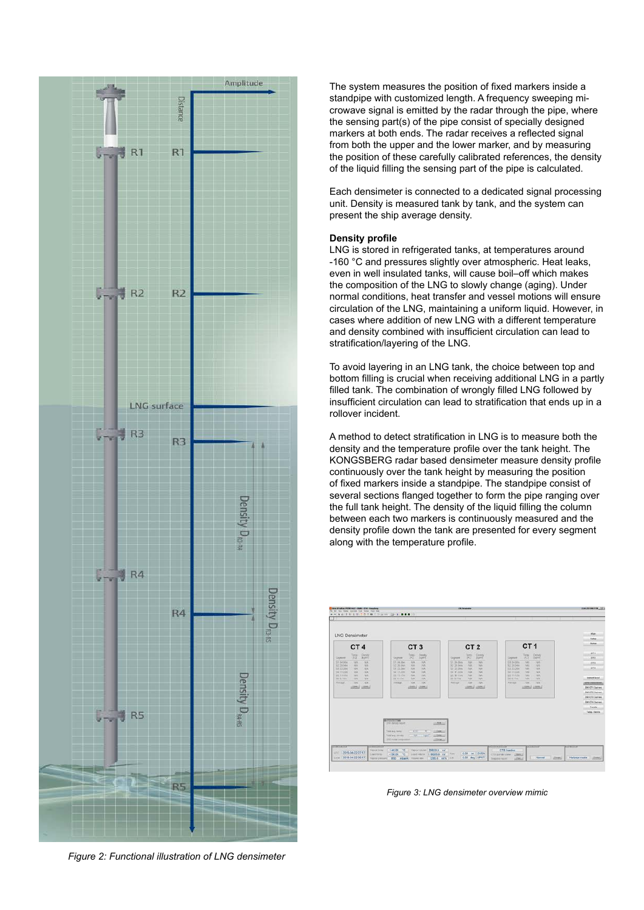

*Figure 2: Functional illustration of LNG densimeter*

The system measures the position of fixed markers inside a standpipe with customized length. A frequency sweeping microwave signal is emitted by the radar through the pipe, where the sensing part(s) of the pipe consist of specially designed markers at both ends. The radar receives a reflected signal from both the upper and the lower marker, and by measuring the position of these carefully calibrated references, the density of the liquid filling the sensing part of the pipe is calculated.

Each densimeter is connected to a dedicated signal processing unit. Density is measured tank by tank, and the system can present the ship average density.

#### **Density profile**

LNG is stored in refrigerated tanks, at temperatures around -160 °C and pressures slightly over atmospheric. Heat leaks, even in well insulated tanks, will cause boil–off which makes the composition of the LNG to slowly change (aging). Under normal conditions, heat transfer and vessel motions will ensure circulation of the LNG, maintaining a uniform liquid. However, in cases where addition of new LNG with a different temperature and density combined with insufficient circulation can lead to stratification/layering of the LNG.

To avoid layering in an LNG tank, the choice between top and bottom filling is crucial when receiving additional LNG in a partly filled tank. The combination of wrongly filled LNG followed by insufficient circulation can lead to stratification that ends up in a rollover incident.

A method to detect stratification in LNG is to measure both the density and the temperature profile over the tank height. The KONGSBERG radar based densimeter measure density profile continuously over the tank height by measuring the position of fixed markers inside a standpipe. The standpipe consist of several sections flanged together to form the pipe ranging over the full tank height. The density of the liquid filling the column between each two markers is continuously measured and the density profile down the tank are presented for every segment along with the temperature profile.



*Figure 3: LNG densimeter overview mimic*